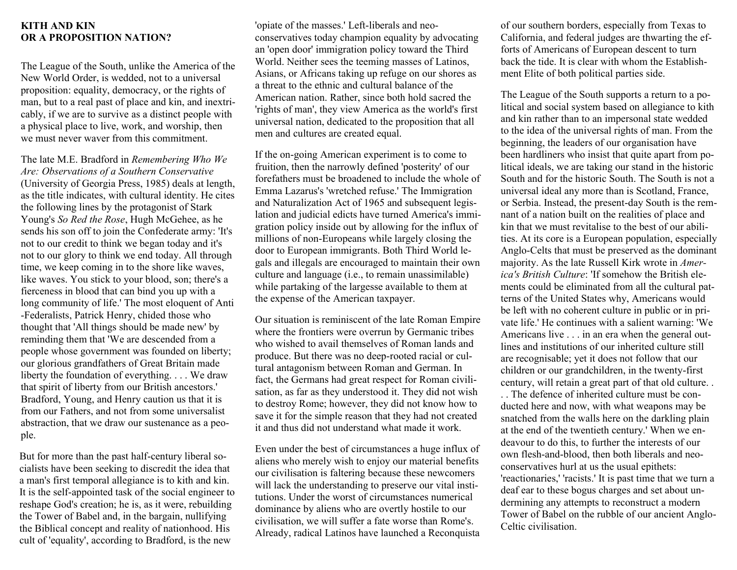#### **KITH AND KIN OR A PROPOSITION NATION?**

The League of the South, unlike the America of the New World Order, is wedded, not to a universal proposition: equality, democracy, or the rights of man, but to a real past of place and kin, and inextricably, if we are to survive as a distinct people with a physical place to live, work, and worship, then we must never waver from this commitment.

The late M.E. Bradford in *Remembering Who We Are: Observations of a Southern Conservative* (University of Georgia Press, 1985) deals at length, as the title indicates, with cultural identity. He cites the following lines by the protagonist of Stark Young's *So Red the Rose*, Hugh McGehee, as he sends his son off to join the Confederate army: 'It's not to our credit to think we began today and it's not to our glory to think we end today. All through time, we keep coming in to the shore like waves, like waves. You stick to your blood, son; there's a fierceness in blood that can bind you up with a long community of life.' The most eloquent of Anti -Federalists, Patrick Henry, chided those who thought that 'All things should be made new' by reminding them that 'We are descended from a people whose government was founded on liberty; our glorious grandfathers of Great Britain made liberty the foundation of everything. . . . We draw that spirit of liberty from our British ancestors.' Bradford, Young, and Henry caution us that it is from our Fathers, and not from some universalist abstraction, that we draw our sustenance as a people.

But for more than the past half-century liberal socialists have been seeking to discredit the idea that a man's first temporal allegiance is to kith and kin. It is the self-appointed task of the social engineer to reshape God's creation; he is, as it were, rebuilding the Tower of Babel and, in the bargain, nullifying the Biblical concept and reality of nationhood. His cult of 'equality', according to Bradford, is the new

'opiate of the masses.' Left-liberals and neoconservatives today champion equality by advocating an 'open door' immigration policy toward the Third World. Neither sees the teeming masses of Latinos, Asians, or Africans taking up refuge on our shores as a threat to the ethnic and cultural balance of the American nation. Rather, since both hold sacred the 'rights of man', they view America as the world's first universal nation, dedicated to the proposition that all men and cultures are created equal.

If the on-going American experiment is to come to fruition, then the narrowly defined 'posterity' of our forefathers must be broadened to include the whole of Emma Lazarus's 'wretched refuse.' The Immigration and Naturalization Act of 1965 and subsequent legislation and judicial edicts have turned America's immigration policy inside out by allowing for the influx of millions of non-Europeans while largely closing the door to European immigrants. Both Third World legals and illegals are encouraged to maintain their own culture and language (i.e., to remain unassimilable) while partaking of the largesse available to them at the expense of the American taxpayer.

Our situation is reminiscent of the late Roman Empire where the frontiers were overrun by Germanic tribes who wished to avail themselves of Roman lands and produce. But there was no deep-rooted racial or cultural antagonism between Roman and German. In fact, the Germans had great respect for Roman civilisation, as far as they understood it. They did not wish to destroy Rome; however, they did not know how to save it for the simple reason that they had not created it and thus did not understand what made it work.

Even under the best of circumstances a huge influx of aliens who merely wish to enjoy our material benefits our civilisation is faltering because these newcomers will lack the understanding to preserve our vital institutions. Under the worst of circumstances numerical dominance by aliens who are overtly hostile to our civilisation, we will suffer a fate worse than Rome's. Already, radical Latinos have launched a Reconquista of our southern borders, especially from Texas to California, and federal judges are thwarting the efforts of Americans of European descent to turn back the tide. It is clear with whom the Establishment Elite of both political parties side.

The League of the South supports a return to a political and social system based on allegiance to kith and kin rather than to an impersonal state wedded to the idea of the universal rights of man. From the beginning, the leaders of our organisation have been hardliners who insist that quite apart from political ideals, we are taking our stand in the historic South and for the historic South. The South is not a universal ideal any more than is Scotland, France, or Serbia. Instead, the present-day South is the remnant of a nation built on the realities of place and kin that we must revitalise to the best of our abilities. At its core is a European population, especially Anglo-Celts that must be preserved as the dominant majority. As the late Russell Kirk wrote in *America's British Culture*: 'If somehow the British elements could be eliminated from all the cultural patterns of the United States why, Americans would be left with no coherent culture in public or in private life.' He continues with a salient warning: 'We Americans live . . . in an era when the general outlines and institutions of our inherited culture still are recognisable; yet it does not follow that our children or our grandchildren, in the twenty-first century, will retain a great part of that old culture. .

. . The defence of inherited culture must be conducted here and now, with what weapons may be snatched from the walls here on the darkling plain at the end of the twentieth century.' When we endeavour to do this, to further the interests of our own flesh-and-blood, then both liberals and neoconservatives hurl at us the usual epithets: 'reactionaries,' 'racists.' It is past time that we turn a deaf ear to these bogus charges and set about undermining any attempts to reconstruct a modern Tower of Babel on the rubble of our ancient Anglo-Celtic civilisation.